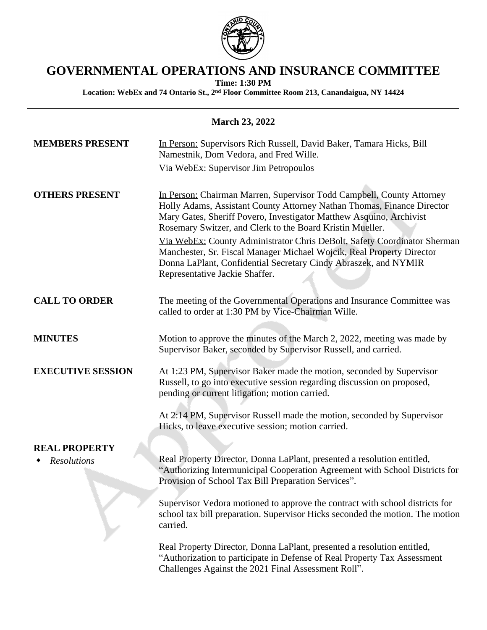

## **GOVERNMENTAL OPERATIONS AND INSURANCE COMMITTEE**

**Time: 1:30 PM**

**Location: WebEx and 74 Ontario St., 2nd Floor Committee Room 213, Canandaigua, NY 14424**

## **March 23, 2022**

| <b>MEMBERS PRESENT</b>   | In Person: Supervisors Rich Russell, David Baker, Tamara Hicks, Bill<br>Namestnik, Dom Vedora, and Fred Wille.<br>Via WebEx: Supervisor Jim Petropoulos                                                                                                                                                                                                                                                                                                                                                                                       |
|--------------------------|-----------------------------------------------------------------------------------------------------------------------------------------------------------------------------------------------------------------------------------------------------------------------------------------------------------------------------------------------------------------------------------------------------------------------------------------------------------------------------------------------------------------------------------------------|
| <b>OTHERS PRESENT</b>    | In Person: Chairman Marren, Supervisor Todd Campbell, County Attorney<br>Holly Adams, Assistant County Attorney Nathan Thomas, Finance Director<br>Mary Gates, Sheriff Povero, Investigator Matthew Asquino, Archivist<br>Rosemary Switzer, and Clerk to the Board Kristin Mueller.<br>Via WebEx: County Administrator Chris DeBolt, Safety Coordinator Sherman<br>Manchester, Sr. Fiscal Manager Michael Wojcik, Real Property Director<br>Donna LaPlant, Confidential Secretary Cindy Abraszek, and NYMIR<br>Representative Jackie Shaffer. |
| <b>CALL TO ORDER</b>     | The meeting of the Governmental Operations and Insurance Committee was<br>called to order at 1:30 PM by Vice-Chairman Wille.                                                                                                                                                                                                                                                                                                                                                                                                                  |
| <b>MINUTES</b>           | Motion to approve the minutes of the March 2, 2022, meeting was made by<br>Supervisor Baker, seconded by Supervisor Russell, and carried.                                                                                                                                                                                                                                                                                                                                                                                                     |
| <b>EXECUTIVE SESSION</b> | At 1:23 PM, Supervisor Baker made the motion, seconded by Supervisor<br>Russell, to go into executive session regarding discussion on proposed,<br>pending or current litigation; motion carried.                                                                                                                                                                                                                                                                                                                                             |
|                          | At 2:14 PM, Supervisor Russell made the motion, seconded by Supervisor<br>Hicks, to leave executive session; motion carried.                                                                                                                                                                                                                                                                                                                                                                                                                  |
| <b>REAL PROPERTY</b>     |                                                                                                                                                                                                                                                                                                                                                                                                                                                                                                                                               |
| <b>Resolutions</b>       | Real Property Director, Donna LaPlant, presented a resolution entitled,<br>"Authorizing Intermunicipal Cooperation Agreement with School Districts for<br>Provision of School Tax Bill Preparation Services".                                                                                                                                                                                                                                                                                                                                 |
|                          | Supervisor Vedora motioned to approve the contract with school districts for<br>school tax bill preparation. Supervisor Hicks seconded the motion. The motion<br>carried.                                                                                                                                                                                                                                                                                                                                                                     |
|                          | Real Property Director, Donna LaPlant, presented a resolution entitled,<br>"Authorization to participate in Defense of Real Property Tax Assessment<br>Challenges Against the 2021 Final Assessment Roll".                                                                                                                                                                                                                                                                                                                                    |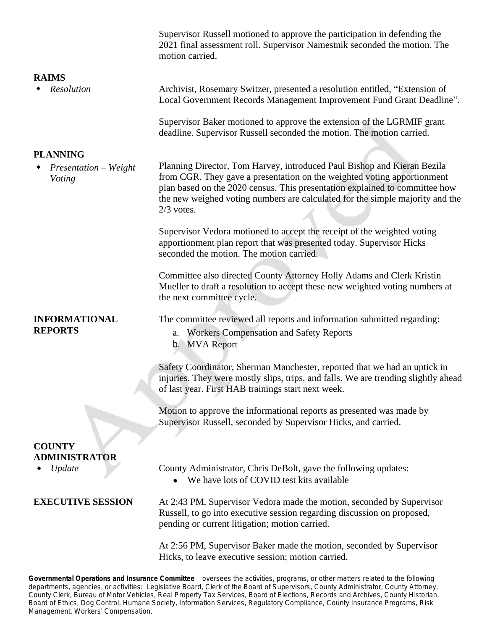|                                        | Supervisor Russell motioned to approve the participation in defending the<br>2021 final assessment roll. Supervisor Namestnik seconded the motion. The<br>motion carried.                                                                                                                                                          |
|----------------------------------------|------------------------------------------------------------------------------------------------------------------------------------------------------------------------------------------------------------------------------------------------------------------------------------------------------------------------------------|
| <b>RAIMS</b>                           |                                                                                                                                                                                                                                                                                                                                    |
| Resolution                             | Archivist, Rosemary Switzer, presented a resolution entitled, "Extension of<br>Local Government Records Management Improvement Fund Grant Deadline".                                                                                                                                                                               |
|                                        | Supervisor Baker motioned to approve the extension of the LGRMIF grant<br>deadline. Supervisor Russell seconded the motion. The motion carried.                                                                                                                                                                                    |
| <b>PLANNING</b>                        |                                                                                                                                                                                                                                                                                                                                    |
| Presentation - Weight<br>Voting        | Planning Director, Tom Harvey, introduced Paul Bishop and Kieran Bezila<br>from CGR. They gave a presentation on the weighted voting apportionment<br>plan based on the 2020 census. This presentation explained to committee how<br>the new weighed voting numbers are calculated for the simple majority and the<br>$2/3$ votes. |
|                                        | Supervisor Vedora motioned to accept the receipt of the weighted voting<br>apportionment plan report that was presented today. Supervisor Hicks<br>seconded the motion. The motion carried.                                                                                                                                        |
|                                        | Committee also directed County Attorney Holly Adams and Clerk Kristin<br>Mueller to draft a resolution to accept these new weighted voting numbers at<br>the next committee cycle.                                                                                                                                                 |
| <b>INFORMATIONAL</b><br><b>REPORTS</b> | The committee reviewed all reports and information submitted regarding:<br><b>Workers Compensation and Safety Reports</b><br>а.<br>b. MVA Report                                                                                                                                                                                   |
|                                        | Safety Coordinator, Sherman Manchester, reported that we had an uptick in<br>injuries. They were mostly slips, trips, and falls. We are trending slightly ahead<br>of last year. First HAB trainings start next week.                                                                                                              |
|                                        | Motion to approve the informational reports as presented was made by<br>Supervisor Russell, seconded by Supervisor Hicks, and carried.                                                                                                                                                                                             |
| <b>COUNTY</b>                          |                                                                                                                                                                                                                                                                                                                                    |
| <b>ADMINISTRATOR</b>                   |                                                                                                                                                                                                                                                                                                                                    |
| Update                                 | County Administrator, Chris DeBolt, gave the following updates:<br>We have lots of COVID test kits available                                                                                                                                                                                                                       |
| <b>EXECUTIVE SESSION</b>               | At 2:43 PM, Supervisor Vedora made the motion, seconded by Supervisor<br>Russell, to go into executive session regarding discussion on proposed,<br>pending or current litigation; motion carried.                                                                                                                                 |
|                                        | At 2:56 PM, Supervisor Baker made the motion, seconded by Supervisor<br>Hicks, to leave executive session; motion carried.                                                                                                                                                                                                         |

**Governmental Operations and Insurance Committee** oversees the activities, programs, or other matters related to the following departments, agencies, or activities: *Legislative Board, Clerk of the Board of Supervisors, County Administrator, County Attorney, County Clerk, Bureau of Motor Vehicles, Real Property Tax Services, Board of Elections, Records and Archives, County Historian, Board of Ethics, Dog Control, Humane Society, Information Services, Regulatory Compliance, County Insurance Programs, Risk Management, Workers*' *Compensation.*